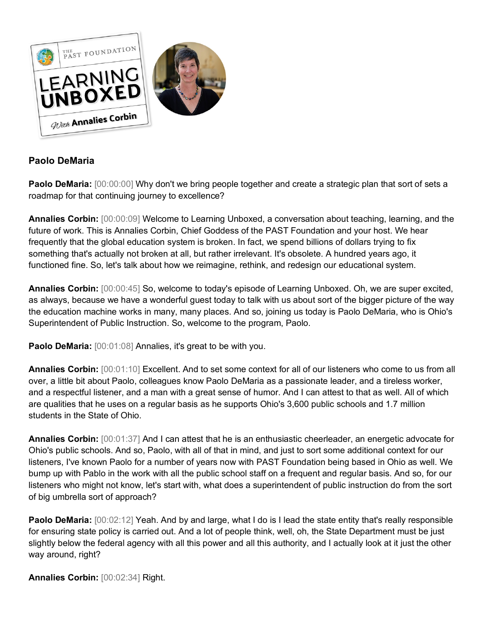

## **Paolo DeMaria**

**Paolo DeMaria:**  $[00:00:00]$  Why don't we bring people together and create a strategic plan that sort of sets a roadmap for that continuing journey to excellence?

**Annalies Corbin:** [00:00:09] Welcome to Learning Unboxed, a conversation about teaching, learning, and the future of work. This is Annalies Corbin, Chief Goddess of the PAST Foundation and your host. We hear frequently that the global education system is broken. In fact, we spend billions of dollars trying to fix something that's actually not broken at all, but rather irrelevant. It's obsolete. A hundred years ago, it functioned fine. So, let's talk about how we reimagine, rethink, and redesign our educational system.

**Annalies Corbin:** [00:00:45] So, welcome to today's episode of Learning Unboxed. Oh, we are super excited, as always, because we have a wonderful guest today to talk with us about sort of the bigger picture of the way the education machine works in many, many places. And so, joining us today is Paolo DeMaria, who is Ohio's Superintendent of Public Instruction. So, welcome to the program, Paolo.

**Paolo DeMaria:**  $[00:01:08]$  Annalies, it's great to be with you.

**Annalies Corbin:** [00:01:10] Excellent. And to set some context for all of our listeners who come to us from all over, a little bit about Paolo, colleagues know Paolo DeMaria as a passionate leader, and a tireless worker, and a respectful listener, and a man with a great sense of humor. And I can attest to that as well. All of which are qualities that he uses on a regular basis as he supports Ohio's 3,600 public schools and 1.7 million students in the State of Ohio.

**Annalies Corbin:** [00:01:37] And I can attest that he is an enthusiastic cheerleader, an energetic advocate for Ohio's public schools. And so, Paolo, with all of that in mind, and just to sort some additional context for our listeners, I've known Paolo for a number of years now with PAST Foundation being based in Ohio as well. We bump up with Pablo in the work with all the public school staff on a frequent and regular basis. And so, for our listeners who might not know, let's start with, what does a superintendent of public instruction do from the sort of big umbrella sort of approach?

**Paolo DeMaria:**  $[00:02:12]$  Yeah. And by and large, what I do is I lead the state entity that's really responsible for ensuring state policy is carried out. And a lot of people think, well, oh, the State Department must be just slightly below the federal agency with all this power and all this authority, and I actually look at it just the other way around, right?

**Annalies Corbin:** [00:02:34] Right.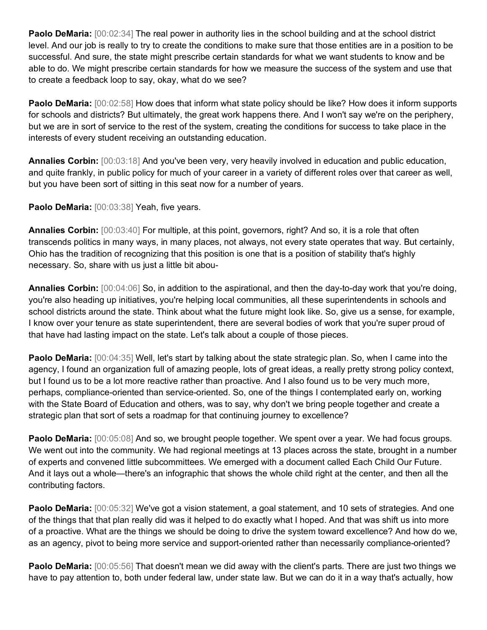**Paolo DeMaria:**  $[00:02:34]$  The real power in authority lies in the school building and at the school district level. And our job is really to try to create the conditions to make sure that those entities are in a position to be successful. And sure, the state might prescribe certain standards for what we want students to know and be able to do. We might prescribe certain standards for how we measure the success of the system and use that to create a feedback loop to say, okay, what do we see?

**Paolo DeMaria:**  $[00:02:58]$  How does that inform what state policy should be like? How does it inform supports for schools and districts? But ultimately, the great work happens there. And I won't say we're on the periphery, but we are in sort of service to the rest of the system, creating the conditions for success to take place in the interests of every student receiving an outstanding education.

**Annalies Corbin:** [00:03:18] And you've been very, very heavily involved in education and public education, and quite frankly, in public policy for much of your career in a variety of different roles over that career as well, but you have been sort of sitting in this seat now for a number of years.

Paolo DeMaria: [00:03:38] Yeah, five years.

**Annalies Corbin:** [00:03:40] For multiple, at this point, governors, right? And so, it is a role that often transcends politics in many ways, in many places, not always, not every state operates that way. But certainly, Ohio has the tradition of recognizing that this position is one that is a position of stability that's highly necessary. So, share with us just a little bit abou-

**Annalies Corbin:** [00:04:06] So, in addition to the aspirational, and then the day-to-day work that you're doing, you're also heading up initiatives, you're helping local communities, all these superintendents in schools and school districts around the state. Think about what the future might look like. So, give us a sense, for example, I know over your tenure as state superintendent, there are several bodies of work that you're super proud of that have had lasting impact on the state. Let's talk about a couple of those pieces.

**Paolo DeMaria:** [00:04:35] Well, let's start by talking about the state strategic plan. So, when I came into the agency, I found an organization full of amazing people, lots of great ideas, a really pretty strong policy context, but I found us to be a lot more reactive rather than proactive. And I also found us to be very much more, perhaps, compliance-oriented than service-oriented. So, one of the things I contemplated early on, working with the State Board of Education and others, was to say, why don't we bring people together and create a strategic plan that sort of sets a roadmap for that continuing journey to excellence?

**Paolo DeMaria:**  $[00:05:08]$  And so, we brought people together. We spent over a year. We had focus groups. We went out into the community. We had regional meetings at 13 places across the state, brought in a number of experts and convened little subcommittees. We emerged with a document called Each Child Our Future. And it lays out a whole—there's an infographic that shows the whole child right at the center, and then all the contributing factors.

**Paolo DeMaria:** [00:05:32] We've got a vision statement, a goal statement, and 10 sets of strategies. And one of the things that that plan really did was it helped to do exactly what I hoped. And that was shift us into more of a proactive. What are the things we should be doing to drive the system toward excellence? And how do we, as an agency, pivot to being more service and support-oriented rather than necessarily compliance-oriented?

**Paolo DeMaria:**  $[00:05:56]$  That doesn't mean we did away with the client's parts. There are just two things we have to pay attention to, both under federal law, under state law. But we can do it in a way that's actually, how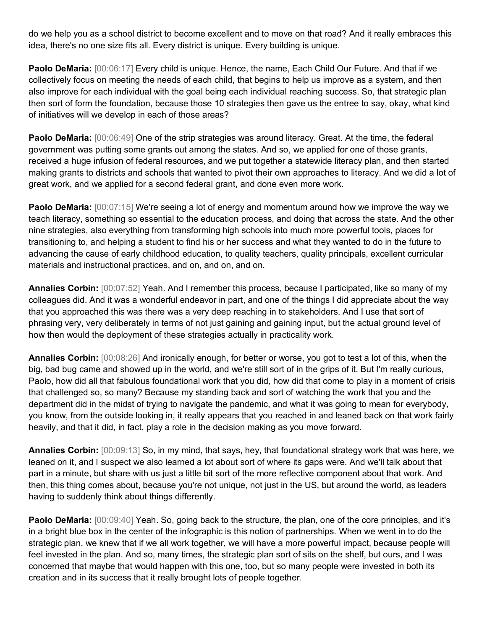do we help you as a school district to become excellent and to move on that road? And it really embraces this idea, there's no one size fits all. Every district is unique. Every building is unique.

**Paolo DeMaria:** [00:06:17] Every child is unique. Hence, the name, Each Child Our Future. And that if we collectively focus on meeting the needs of each child, that begins to help us improve as a system, and then also improve for each individual with the goal being each individual reaching success. So, that strategic plan then sort of form the foundation, because those 10 strategies then gave us the entree to say, okay, what kind of initiatives will we develop in each of those areas?

**Paolo DeMaria:** [00:06:49] One of the strip strategies was around literacy. Great. At the time, the federal government was putting some grants out among the states. And so, we applied for one of those grants, received a huge infusion of federal resources, and we put together a statewide literacy plan, and then started making grants to districts and schools that wanted to pivot their own approaches to literacy. And we did a lot of great work, and we applied for a second federal grant, and done even more work.

**Paolo DeMaria:**  $[00:07:15]$  We're seeing a lot of energy and momentum around how we improve the way we teach literacy, something so essential to the education process, and doing that across the state. And the other nine strategies, also everything from transforming high schools into much more powerful tools, places for transitioning to, and helping a student to find his or her success and what they wanted to do in the future to advancing the cause of early childhood education, to quality teachers, quality principals, excellent curricular materials and instructional practices, and on, and on, and on.

**Annalies Corbin:** [00:07:52] Yeah. And I remember this process, because I participated, like so many of my colleagues did. And it was a wonderful endeavor in part, and one of the things I did appreciate about the way that you approached this was there was a very deep reaching in to stakeholders. And I use that sort of phrasing very, very deliberately in terms of not just gaining and gaining input, but the actual ground level of how then would the deployment of these strategies actually in practicality work.

**Annalies Corbin:** [00:08:26] And ironically enough, for better or worse, you got to test a lot of this, when the big, bad bug came and showed up in the world, and we're still sort of in the grips of it. But I'm really curious, Paolo, how did all that fabulous foundational work that you did, how did that come to play in a moment of crisis that challenged so, so many? Because my standing back and sort of watching the work that you and the department did in the midst of trying to navigate the pandemic, and what it was going to mean for everybody, you know, from the outside looking in, it really appears that you reached in and leaned back on that work fairly heavily, and that it did, in fact, play a role in the decision making as you move forward.

**Annalies Corbin:** [00:09:13] So, in my mind, that says, hey, that foundational strategy work that was here, we leaned on it, and I suspect we also learned a lot about sort of where its gaps were. And we'll talk about that part in a minute, but share with us just a little bit sort of the more reflective component about that work. And then, this thing comes about, because you're not unique, not just in the US, but around the world, as leaders having to suddenly think about things differently.

**Paolo DeMaria:** [00:09:40] Yeah. So, going back to the structure, the plan, one of the core principles, and it's in a bright blue box in the center of the infographic is this notion of partnerships. When we went in to do the strategic plan, we knew that if we all work together, we will have a more powerful impact, because people will feel invested in the plan. And so, many times, the strategic plan sort of sits on the shelf, but ours, and I was concerned that maybe that would happen with this one, too, but so many people were invested in both its creation and in its success that it really brought lots of people together.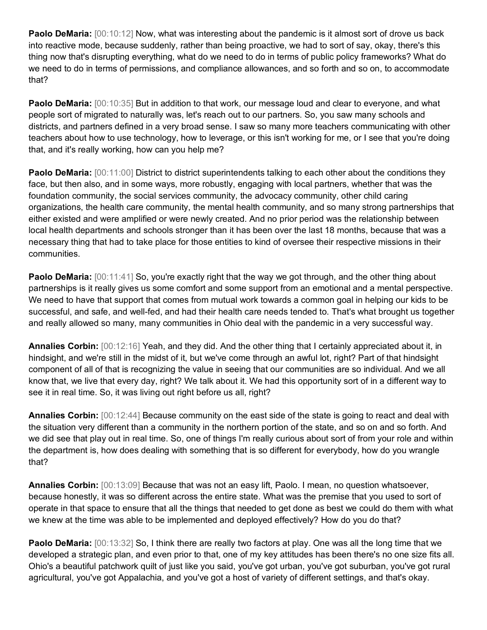**Paolo DeMaria:**  $[00:10:12]$  Now, what was interesting about the pandemic is it almost sort of drove us back into reactive mode, because suddenly, rather than being proactive, we had to sort of say, okay, there's this thing now that's disrupting everything, what do we need to do in terms of public policy frameworks? What do we need to do in terms of permissions, and compliance allowances, and so forth and so on, to accommodate that?

Paolo DeMaria: [00:10:35] But in addition to that work, our message loud and clear to everyone, and what people sort of migrated to naturally was, let's reach out to our partners. So, you saw many schools and districts, and partners defined in a very broad sense. I saw so many more teachers communicating with other teachers about how to use technology, how to leverage, or this isn't working for me, or I see that you're doing that, and it's really working, how can you help me?

**Paolo DeMaria:** [00:11:00] District to district superintendents talking to each other about the conditions they face, but then also, and in some ways, more robustly, engaging with local partners, whether that was the foundation community, the social services community, the advocacy community, other child caring organizations, the health care community, the mental health community, and so many strong partnerships that either existed and were amplified or were newly created. And no prior period was the relationship between local health departments and schools stronger than it has been over the last 18 months, because that was a necessary thing that had to take place for those entities to kind of oversee their respective missions in their communities.

**Paolo DeMaria:**  $[00:11:41]$  So, you're exactly right that the way we got through, and the other thing about partnerships is it really gives us some comfort and some support from an emotional and a mental perspective. We need to have that support that comes from mutual work towards a common goal in helping our kids to be successful, and safe, and well-fed, and had their health care needs tended to. That's what brought us together and really allowed so many, many communities in Ohio deal with the pandemic in a very successful way.

**Annalies Corbin:** [00:12:16] Yeah, and they did. And the other thing that I certainly appreciated about it, in hindsight, and we're still in the midst of it, but we've come through an awful lot, right? Part of that hindsight component of all of that is recognizing the value in seeing that our communities are so individual. And we all know that, we live that every day, right? We talk about it. We had this opportunity sort of in a different way to see it in real time. So, it was living out right before us all, right?

**Annalies Corbin:** [00:12:44] Because community on the east side of the state is going to react and deal with the situation very different than a community in the northern portion of the state, and so on and so forth. And we did see that play out in real time. So, one of things I'm really curious about sort of from your role and within the department is, how does dealing with something that is so different for everybody, how do you wrangle that?

**Annalies Corbin:** [00:13:09] Because that was not an easy lift, Paolo. I mean, no question whatsoever, because honestly, it was so different across the entire state. What was the premise that you used to sort of operate in that space to ensure that all the things that needed to get done as best we could do them with what we knew at the time was able to be implemented and deployed effectively? How do you do that?

**Paolo DeMaria:**  $[00:13:32]$  So, I think there are really two factors at play. One was all the long time that we developed a strategic plan, and even prior to that, one of my key attitudes has been there's no one size fits all. Ohio's a beautiful patchwork quilt of just like you said, you've got urban, you've got suburban, you've got rural agricultural, you've got Appalachia, and you've got a host of variety of different settings, and that's okay.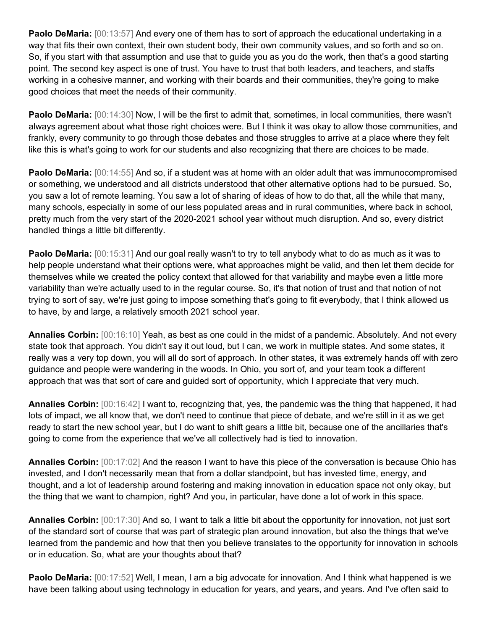**Paolo DeMaria:** [00:13:57] And every one of them has to sort of approach the educational undertaking in a way that fits their own context, their own student body, their own community values, and so forth and so on. So, if you start with that assumption and use that to guide you as you do the work, then that's a good starting point. The second key aspect is one of trust. You have to trust that both leaders, and teachers, and staffs working in a cohesive manner, and working with their boards and their communities, they're going to make good choices that meet the needs of their community.

**Paolo DeMaria:** [00:14:30] Now, I will be the first to admit that, sometimes, in local communities, there wasn't always agreement about what those right choices were. But I think it was okay to allow those communities, and frankly, every community to go through those debates and those struggles to arrive at a place where they felt like this is what's going to work for our students and also recognizing that there are choices to be made.

**Paolo DeMaria:** [00:14:55] And so, if a student was at home with an older adult that was immunocompromised or something, we understood and all districts understood that other alternative options had to be pursued. So, you saw a lot of remote learning. You saw a lot of sharing of ideas of how to do that, all the while that many, many schools, especially in some of our less populated areas and in rural communities, where back in school, pretty much from the very start of the 2020-2021 school year without much disruption. And so, every district handled things a little bit differently.

**Paolo DeMaria:** [00:15:31] And our goal really wasn't to try to tell anybody what to do as much as it was to help people understand what their options were, what approaches might be valid, and then let them decide for themselves while we created the policy context that allowed for that variability and maybe even a little more variability than we're actually used to in the regular course. So, it's that notion of trust and that notion of not trying to sort of say, we're just going to impose something that's going to fit everybody, that I think allowed us to have, by and large, a relatively smooth 2021 school year.

**Annalies Corbin:** [00:16:10] Yeah, as best as one could in the midst of a pandemic. Absolutely. And not every state took that approach. You didn't say it out loud, but I can, we work in multiple states. And some states, it really was a very top down, you will all do sort of approach. In other states, it was extremely hands off with zero guidance and people were wandering in the woods. In Ohio, you sort of, and your team took a different approach that was that sort of care and guided sort of opportunity, which I appreciate that very much.

**Annalies Corbin:** [00:16:42] I want to, recognizing that, yes, the pandemic was the thing that happened, it had lots of impact, we all know that, we don't need to continue that piece of debate, and we're still in it as we get ready to start the new school year, but I do want to shift gears a little bit, because one of the ancillaries that's going to come from the experience that we've all collectively had is tied to innovation.

**Annalies Corbin:** [00:17:02] And the reason I want to have this piece of the conversation is because Ohio has invested, and I don't necessarily mean that from a dollar standpoint, but has invested time, energy, and thought, and a lot of leadership around fostering and making innovation in education space not only okay, but the thing that we want to champion, right? And you, in particular, have done a lot of work in this space.

**Annalies Corbin:** [00:17:30] And so, I want to talk a little bit about the opportunity for innovation, not just sort of the standard sort of course that was part of strategic plan around innovation, but also the things that we've learned from the pandemic and how that then you believe translates to the opportunity for innovation in schools or in education. So, what are your thoughts about that?

**Paolo DeMaria:** [00:17:52] Well, I mean, I am a big advocate for innovation. And I think what happened is we have been talking about using technology in education for years, and years, and years. And I've often said to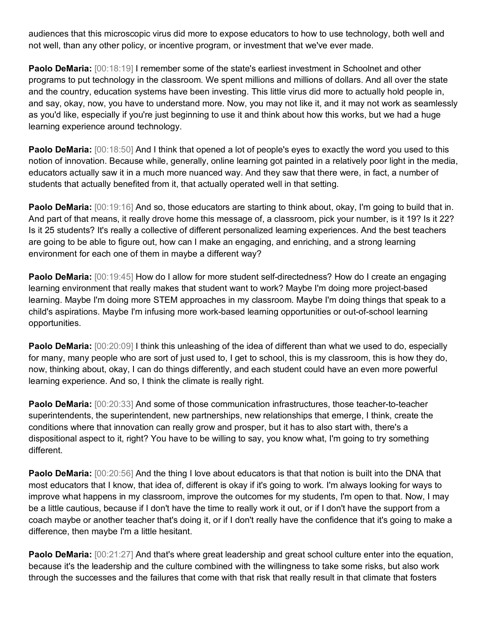audiences that this microscopic virus did more to expose educators to how to use technology, both well and not well, than any other policy, or incentive program, or investment that we've ever made.

**Paolo DeMaria:**  $[00:18:19]$  I remember some of the state's earliest investment in Schoolnet and other programs to put technology in the classroom. We spent millions and millions of dollars. And all over the state and the country, education systems have been investing. This little virus did more to actually hold people in, and say, okay, now, you have to understand more. Now, you may not like it, and it may not work as seamlessly as you'd like, especially if you're just beginning to use it and think about how this works, but we had a huge learning experience around technology.

**Paolo DeMaria:**  $[00:18:50]$  And I think that opened a lot of people's eyes to exactly the word you used to this notion of innovation. Because while, generally, online learning got painted in a relatively poor light in the media, educators actually saw it in a much more nuanced way. And they saw that there were, in fact, a number of students that actually benefited from it, that actually operated well in that setting.

**Paolo DeMaria:**  $[00:19:16]$  And so, those educators are starting to think about, okay, I'm going to build that in. And part of that means, it really drove home this message of, a classroom, pick your number, is it 19? Is it 22? Is it 25 students? It's really a collective of different personalized learning experiences. And the best teachers are going to be able to figure out, how can I make an engaging, and enriching, and a strong learning environment for each one of them in maybe a different way?

Paolo DeMaria: [00:19:45] How do I allow for more student self-directedness? How do I create an engaging learning environment that really makes that student want to work? Maybe I'm doing more project-based learning. Maybe I'm doing more STEM approaches in my classroom. Maybe I'm doing things that speak to a child's aspirations. Maybe I'm infusing more work-based learning opportunities or out-of-school learning opportunities.

**Paolo DeMaria:** [00:20:09] I think this unleashing of the idea of different than what we used to do, especially for many, many people who are sort of just used to, I get to school, this is my classroom, this is how they do, now, thinking about, okay, I can do things differently, and each student could have an even more powerful learning experience. And so, I think the climate is really right.

**Paolo DeMaria:** [00:20:33] And some of those communication infrastructures, those teacher-to-teacher superintendents, the superintendent, new partnerships, new relationships that emerge, I think, create the conditions where that innovation can really grow and prosper, but it has to also start with, there's a dispositional aspect to it, right? You have to be willing to say, you know what, I'm going to try something different.

**Paolo DeMaria:** [00:20:56] And the thing I love about educators is that that notion is built into the DNA that most educators that I know, that idea of, different is okay if it's going to work. I'm always looking for ways to improve what happens in my classroom, improve the outcomes for my students, I'm open to that. Now, I may be a little cautious, because if I don't have the time to really work it out, or if I don't have the support from a coach maybe or another teacher that's doing it, or if I don't really have the confidence that it's going to make a difference, then maybe I'm a little hesitant.

**Paolo DeMaria:** [00:21:27] And that's where great leadership and great school culture enter into the equation, because it's the leadership and the culture combined with the willingness to take some risks, but also work through the successes and the failures that come with that risk that really result in that climate that fosters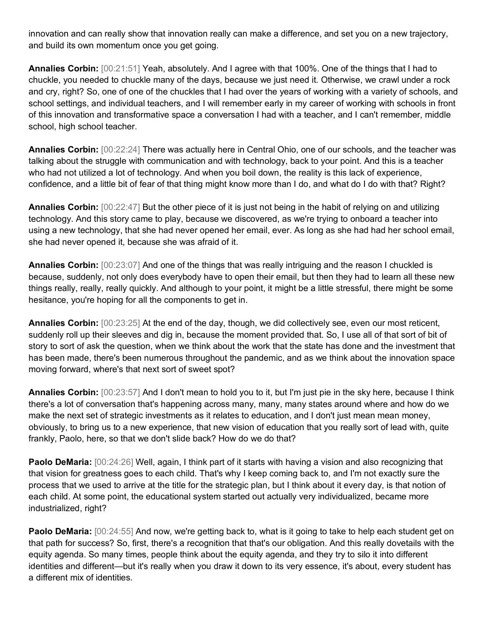innovation and can really show that innovation really can make a difference, and set you on a new trajectory, and build its own momentum once you get going.

**Annalies Corbin:** [00:21:51] Yeah, absolutely. And I agree with that 100%. One of the things that I had to chuckle, you needed to chuckle many of the days, because we just need it. Otherwise, we crawl under a rock and cry, right? So, one of one of the chuckles that I had over the years of working with a variety of schools, and school settings, and individual teachers, and I will remember early in my career of working with schools in front of this innovation and transformative space a conversation I had with a teacher, and I can't remember, middle school, high school teacher.

**Annalies Corbin:** [00:22:24] There was actually here in Central Ohio, one of our schools, and the teacher was talking about the struggle with communication and with technology, back to your point. And this is a teacher who had not utilized a lot of technology. And when you boil down, the reality is this lack of experience, confidence, and a little bit of fear of that thing might know more than I do, and what do I do with that? Right?

**Annalies Corbin:** [00:22:47] But the other piece of it is just not being in the habit of relying on and utilizing technology. And this story came to play, because we discovered, as we're trying to onboard a teacher into using a new technology, that she had never opened her email, ever. As long as she had had her school email, she had never opened it, because she was afraid of it.

**Annalies Corbin:** [00:23:07] And one of the things that was really intriguing and the reason I chuckled is because, suddenly, not only does everybody have to open their email, but then they had to learn all these new things really, really, really quickly. And although to your point, it might be a little stressful, there might be some hesitance, you're hoping for all the components to get in.

**Annalies Corbin:** [00:23:25] At the end of the day, though, we did collectively see, even our most reticent, suddenly roll up their sleeves and dig in, because the moment provided that. So, I use all of that sort of bit of story to sort of ask the question, when we think about the work that the state has done and the investment that has been made, there's been numerous throughout the pandemic, and as we think about the innovation space moving forward, where's that next sort of sweet spot?

**Annalies Corbin:** [00:23:57] And I don't mean to hold you to it, but I'm just pie in the sky here, because I think there's a lot of conversation that's happening across many, many, many states around where and how do we make the next set of strategic investments as it relates to education, and I don't just mean mean money, obviously, to bring us to a new experience, that new vision of education that you really sort of lead with, quite frankly, Paolo, here, so that we don't slide back? How do we do that?

**Paolo DeMaria:** [00:24:26] Well, again, I think part of it starts with having a vision and also recognizing that that vision for greatness goes to each child. That's why I keep coming back to, and I'm not exactly sure the process that we used to arrive at the title for the strategic plan, but I think about it every day, is that notion of each child. At some point, the educational system started out actually very individualized, became more industrialized, right?

**Paolo DeMaria:** [00:24:55] And now, we're getting back to, what is it going to take to help each student get on that path for success? So, first, there's a recognition that that's our obligation. And this really dovetails with the equity agenda. So many times, people think about the equity agenda, and they try to silo it into different identities and different—but it's really when you draw it down to its very essence, it's about, every student has a different mix of identities.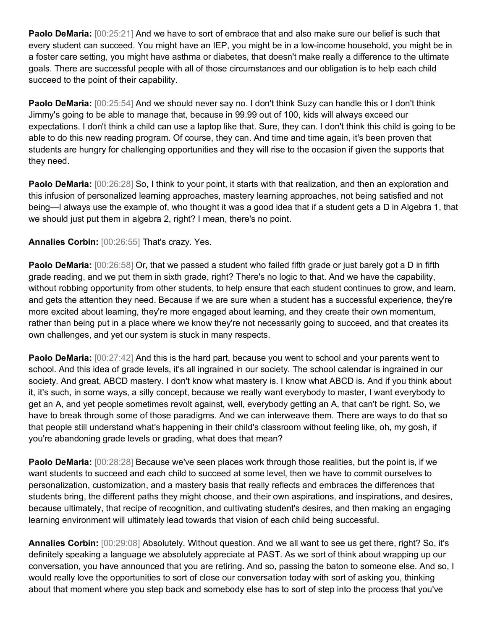**Paolo DeMaria:** [00:25:21] And we have to sort of embrace that and also make sure our belief is such that every student can succeed. You might have an IEP, you might be in a low-income household, you might be in a foster care setting, you might have asthma or diabetes, that doesn't make really a difference to the ultimate goals. There are successful people with all of those circumstances and our obligation is to help each child succeed to the point of their capability.

**Paolo DeMaria:** [00:25:54] And we should never say no. I don't think Suzy can handle this or I don't think Jimmy's going to be able to manage that, because in 99.99 out of 100, kids will always exceed our expectations. I don't think a child can use a laptop like that. Sure, they can. I don't think this child is going to be able to do this new reading program. Of course, they can. And time and time again, it's been proven that students are hungry for challenging opportunities and they will rise to the occasion if given the supports that they need.

**Paolo DeMaria:** [00:26:28] So, I think to your point, it starts with that realization, and then an exploration and this infusion of personalized learning approaches, mastery learning approaches, not being satisfied and not being—I always use the example of, who thought it was a good idea that if a student gets a D in Algebra 1, that we should just put them in algebra 2, right? I mean, there's no point.

**Annalies Corbin:** [00:26:55] That's crazy. Yes.

**Paolo DeMaria:**  $[00:26:58]$  Or, that we passed a student who failed fifth grade or just barely got a D in fifth grade reading, and we put them in sixth grade, right? There's no logic to that. And we have the capability, without robbing opportunity from other students, to help ensure that each student continues to grow, and learn, and gets the attention they need. Because if we are sure when a student has a successful experience, they're more excited about learning, they're more engaged about learning, and they create their own momentum, rather than being put in a place where we know they're not necessarily going to succeed, and that creates its own challenges, and yet our system is stuck in many respects.

**Paolo DeMaria:**  $[00:27:42]$  And this is the hard part, because you went to school and your parents went to school. And this idea of grade levels, it's all ingrained in our society. The school calendar is ingrained in our society. And great, ABCD mastery. I don't know what mastery is. I know what ABCD is. And if you think about it, it's such, in some ways, a silly concept, because we really want everybody to master, I want everybody to get an A, and yet people sometimes revolt against, well, everybody getting an A, that can't be right. So, we have to break through some of those paradigms. And we can interweave them. There are ways to do that so that people still understand what's happening in their child's classroom without feeling like, oh, my gosh, if you're abandoning grade levels or grading, what does that mean?

**Paolo DeMaria:**  $[00:28:28]$  Because we've seen places work through those realities, but the point is, if we want students to succeed and each child to succeed at some level, then we have to commit ourselves to personalization, customization, and a mastery basis that really reflects and embraces the differences that students bring, the different paths they might choose, and their own aspirations, and inspirations, and desires, because ultimately, that recipe of recognition, and cultivating student's desires, and then making an engaging learning environment will ultimately lead towards that vision of each child being successful.

**Annalies Corbin:** [00:29:08] Absolutely. Without question. And we all want to see us get there, right? So, it's definitely speaking a language we absolutely appreciate at PAST. As we sort of think about wrapping up our conversation, you have announced that you are retiring. And so, passing the baton to someone else. And so, I would really love the opportunities to sort of close our conversation today with sort of asking you, thinking about that moment where you step back and somebody else has to sort of step into the process that you've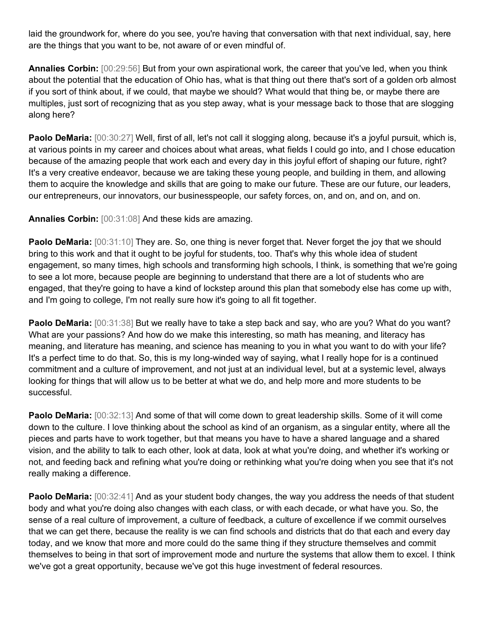laid the groundwork for, where do you see, you're having that conversation with that next individual, say, here are the things that you want to be, not aware of or even mindful of.

**Annalies Corbin:** [00:29:56] But from your own aspirational work, the career that you've led, when you think about the potential that the education of Ohio has, what is that thing out there that's sort of a golden orb almost if you sort of think about, if we could, that maybe we should? What would that thing be, or maybe there are multiples, just sort of recognizing that as you step away, what is your message back to those that are slogging along here?

**Paolo DeMaria:** [00:30:27] Well, first of all, let's not call it slogging along, because it's a joyful pursuit, which is, at various points in my career and choices about what areas, what fields I could go into, and I chose education because of the amazing people that work each and every day in this joyful effort of shaping our future, right? It's a very creative endeavor, because we are taking these young people, and building in them, and allowing them to acquire the knowledge and skills that are going to make our future. These are our future, our leaders, our entrepreneurs, our innovators, our businesspeople, our safety forces, on, and on, and on, and on.

**Annalies Corbin:** [00:31:08] And these kids are amazing.

**Paolo DeMaria:**  $[00:31:10]$  They are. So, one thing is never forget that. Never forget the joy that we should bring to this work and that it ought to be joyful for students, too. That's why this whole idea of student engagement, so many times, high schools and transforming high schools, I think, is something that we're going to see a lot more, because people are beginning to understand that there are a lot of students who are engaged, that they're going to have a kind of lockstep around this plan that somebody else has come up with, and I'm going to college, I'm not really sure how it's going to all fit together.

**Paolo DeMaria:** [00:31:38] But we really have to take a step back and say, who are you? What do you want? What are your passions? And how do we make this interesting, so math has meaning, and literacy has meaning, and literature has meaning, and science has meaning to you in what you want to do with your life? It's a perfect time to do that. So, this is my long-winded way of saying, what I really hope for is a continued commitment and a culture of improvement, and not just at an individual level, but at a systemic level, always looking for things that will allow us to be better at what we do, and help more and more students to be successful.

**Paolo DeMaria:** [00:32:13] And some of that will come down to great leadership skills. Some of it will come down to the culture. I love thinking about the school as kind of an organism, as a singular entity, where all the pieces and parts have to work together, but that means you have to have a shared language and a shared vision, and the ability to talk to each other, look at data, look at what you're doing, and whether it's working or not, and feeding back and refining what you're doing or rethinking what you're doing when you see that it's not really making a difference.

**Paolo DeMaria:** [00:32:41] And as your student body changes, the way you address the needs of that student body and what you're doing also changes with each class, or with each decade, or what have you. So, the sense of a real culture of improvement, a culture of feedback, a culture of excellence if we commit ourselves that we can get there, because the reality is we can find schools and districts that do that each and every day today, and we know that more and more could do the same thing if they structure themselves and commit themselves to being in that sort of improvement mode and nurture the systems that allow them to excel. I think we've got a great opportunity, because we've got this huge investment of federal resources.